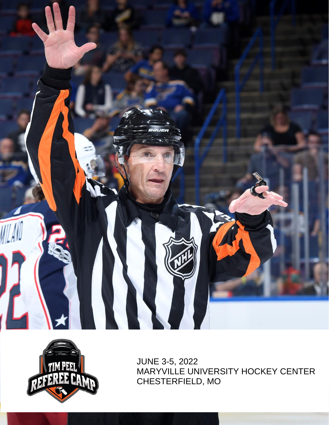



JUNE 3-5, 2022 MARYVILLE UNIVERSITY HOCKEY CENTER CHESTERFIELD, MO